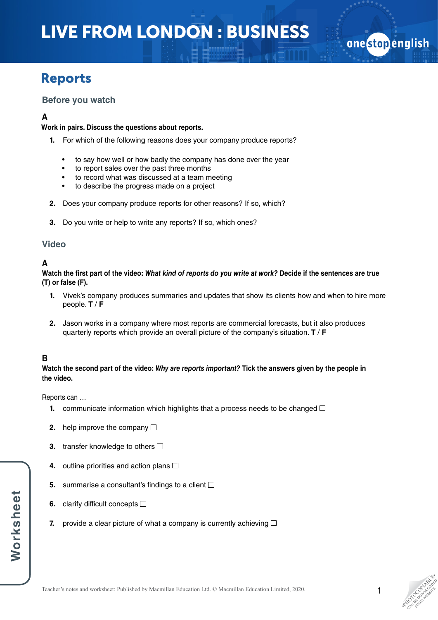# LIVE FROM LONDON : BUSINESS

# Reports

### **Before you watch**

### **A**

#### **Work in pairs. Discuss the questions about reports.**

- **1.** For which of the following reasons does your company produce reports?
	- to say how well or how badly the company has done over the year
	- to report sales over the past three months
	- to record what was discussed at a team meeting
	- to describe the progress made on a project
- **2.** Does your company produce reports for other reasons? If so, which?
- **3.** Do you write or help to write any reports? If so, which ones?

### **Video**

# **A**

**Watch the first part of the video:** *What kind of reports do you write at work?* **ecide if the sentences are true D(T) or false (F).**

- **1.** Vivek's company produces summaries and updates that show its clients how and when to hire more people. **T** / **F**
- **2.** Jason works in a company where most reports are commercial forecasts, but it also produces quarterly reports which provide an overall picture of the company's situation. **T** / **F**

# **B**

**Watch the second part of the video:** *Why are reports important?* **Tick the answers given by the people in the video.**

Reports can …

- **1.** communicate information which highlights that a process needs to be changed  $\Box$
- **2.** help improve the company  $\Box$
- **3.** transfer knowledge to others  $\Box$
- **4.** outline priorities and action plans  $\Box$
- **5.** summarise a consultant's findings to a client  $\Box$
- **6.** clarify difficult concepts  $\Box$
- **7.** provide a clear picture of what a company is currently achieving  $\Box$

onestopenglish

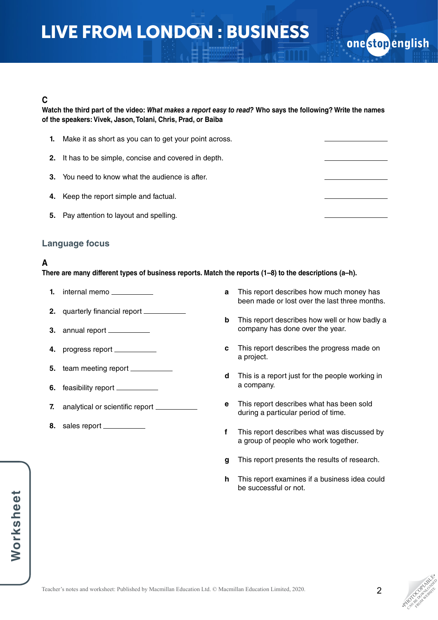# LIVE FROM LONDON : BUSINESS

### **C**

**Watch the third part of the video:** *What makes a report easy to read?* **Who says the following? Write the names of the speakers: Vivek, Jason, Tolani, Chris, Prad, or Baiba**

| 1. | Make it as short as you can to get your point across.  |  |
|----|--------------------------------------------------------|--|
|    | 2. It has to be simple, concise and covered in depth.  |  |
|    | <b>3.</b> You need to know what the audience is after. |  |
|    | 4. Keep the report simple and factual.                 |  |
| 5. | Pay attention to layout and spelling.                  |  |

### **Language focus**

# **A**

**There are many different types of business reports. Match the reports (1–8) to the descriptions (a–h).** 

- **1.** internal memo
- **2.** quarterly financial report
- **3.** annual report
- **4.** progress report
- **5.** team meeting report
- **6.** feasibility report
- **7.** analytical or scientific report \_\_\_\_\_\_\_
- **8.** sales report
- **a** This report describes how much money has been made or lost over the last three months.
- **b** This report describes how well or how badly a company has done over the year.
- **c** This report describes the progress made on a project.
- **d** This is a report just for the people working in a company.
- **e** This report describes what has been sold during a particular period of time.
- **f** This report describes what was discussed by a group of people who work together.
- **g** This report presents the results of research.
- **h** This report examines if a business idea could be successful or not.

one stop english